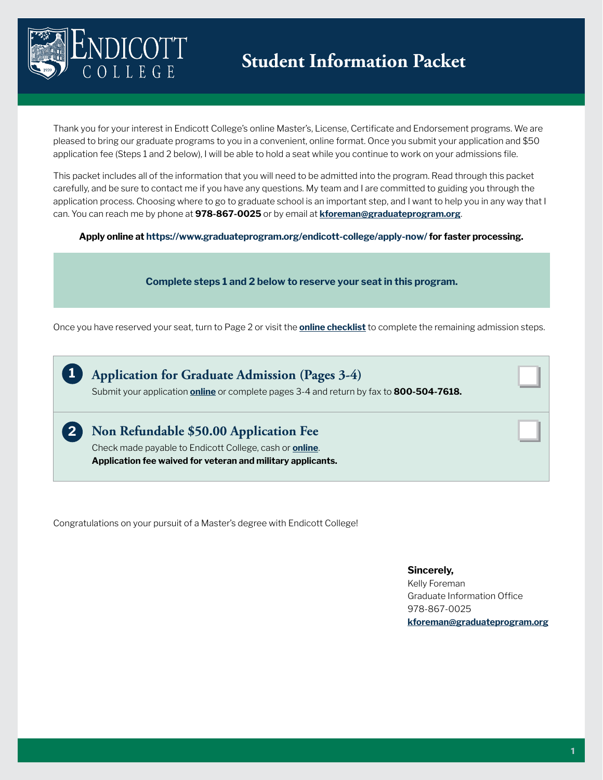

**2**

Thank you for your interest in Endicott College's online Master's, License, Certificate and Endorsement programs. We are pleased to bring our graduate programs to you in a convenient, online format. Once you submit your application and \$50 application fee (Steps 1 and 2 below), I will be able to hold a seat while you continue to work on your admissions file.

This packet includes all of the information that you will need to be admitted into the program. Read through this packet carefully, and be sure to contact me if you have any questions. My team and I are committed to guiding you through the application process. Choosing where to go to graduate school is an important step, and I want to help you in any way that I can. You can reach me by phone at **978-867-0025** or by email at **[kforeman@graduateprogram.org](mailto:kforeman%40graduateprogram.org?subject=)**.

**Apply online at https://www.graduateprogram.org/endicott-college/apply-now/ for faster processing.**

#### **Complete steps 1 and 2 below to reserve your seat in this program.**

Once you have reserved your seat, turn to Page 2 or visit the **[online checklist](https://www.graduateprogram.org/endicott-college/apply-now/)** to complete the remaining admission steps.

**Application for Graduate Admission (Pages 3-4)** Submit your application **[online](https://www.graduateprogram.org/endicott-college/apply-now/)** or complete pages 3-4 and return by fax to **800-504-7618. 1**

**Non Refundable \$50.00 Application Fee**  Check made payable to Endicott College, cash or **[online](https://apply.endicott.edu/account/login?r=https%3a%2f%2fapply.endicott.edu%2fapply%2fstatus)**.

**Application fee waived for veteran and military applicants.** 

Congratulations on your pursuit of a Master's degree with Endicott College!

#### **Sincerely,**

Kelly Foreman Graduate Information Office 978-867-0025 **[kforeman@graduateprogram.org](mailto:kforeman%40graduateprogram.org?subject=)**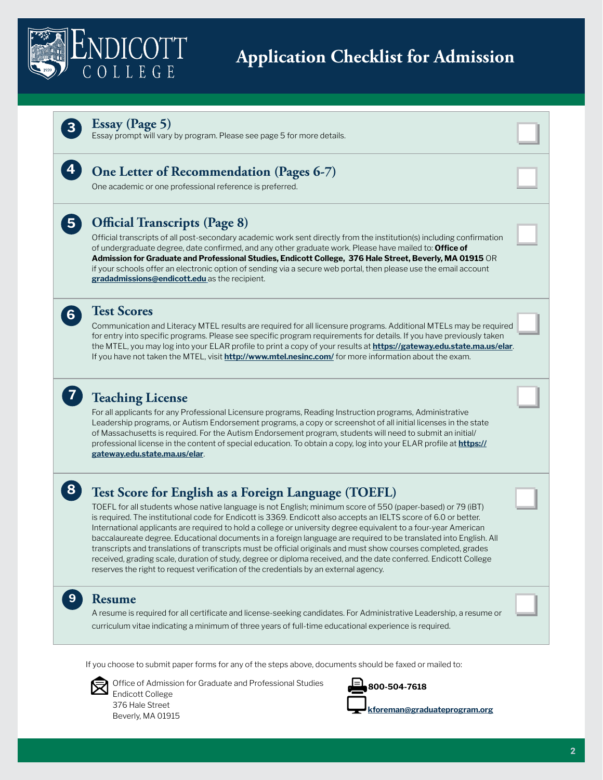

# **Application Checklist for Admission**



**4**

**5**

**6**

**7**

**8**

**9**

#### **Essay (Page 5)**

Essay prompt will vary by program. Please see page 5 for more details.



One academic or one professional reference is preferred.

# **Official Transcripts (Page 8)**

Official transcripts of all post-secondary academic work sent directly from the institution(s) including confirmation of undergraduate degree, date confirmed, and any other graduate work. Please have mailed to: **Office of Admission for Graduate and Professional Studies, Endicott College, 376 Hale Street, Beverly, MA 01915** OR if your schools offer an electronic option of sending via a secure web portal, then please use the email account **[gradadmissions@endicott.edu](mailto:gradadmissions%40endicott.edu%20?subject=)** as the recipient.

### **Test Scores**

Communication and Literacy MTEL results are required for all licensure programs. Additional MTELs may be required for entry into specific programs. Please see specific program requirements for details. If you have previously taken the MTEL, you may log into your ELAR profile to print a copy of your results at **<https://gateway.edu.state.ma.us/elar>**. If you have not taken the MTEL, visit **<http://www.mtel.nesinc.com/>** for more information about the exam.

# **Teaching License**

For all applicants for any Professional Licensure programs, Reading Instruction programs, Administrative Leadership programs, or Autism Endorsement programs, a copy or screenshot of all initial licenses in the state of Massachusetts is required. For the Autism Endorsement program, students will need to submit an initial/ professional license in the content of special education. To obtain a copy, log into your ELAR profile at **[https://](https://gateway.edu.state.ma.us/elar) [gateway.edu.state.ma.us/elar](https://gateway.edu.state.ma.us/elar)**.

# **Test Score for English as a Foreign Language (TOEFL)**

TOEFL for all students whose native language is not English; minimum score of 550 (paper-based) or 79 (iBT) is required. The institutional code for Endicott is 3369. Endicott also accepts an IELTS score of 6.0 or better. International applicants are required to hold a college or university degree equivalent to a four-year American baccalaureate degree. Educational documents in a foreign language are required to be translated into English. All transcripts and translations of transcripts must be official originals and must show courses completed, grades received, grading scale, duration of study, degree or diploma received, and the date conferred. Endicott College reserves the right to request verification of the credentials by an external agency.

### **Resume**

A resume is required for all certificate and license-seeking candidates. For Administrative Leadership, a resume or curriculum vitae indicating a minimum of three years of full-time educational experience is required.

If you choose to submit paper forms for any of the steps above, documents should be faxed or mailed to:



Office of Admission for Graduate and Professional Studies Endicott College 376 Hale Street

Beverly, MA 01915



**[kforeman@graduateprogram.org](mailto:kforeman%40graduateprogram.org?subject=)**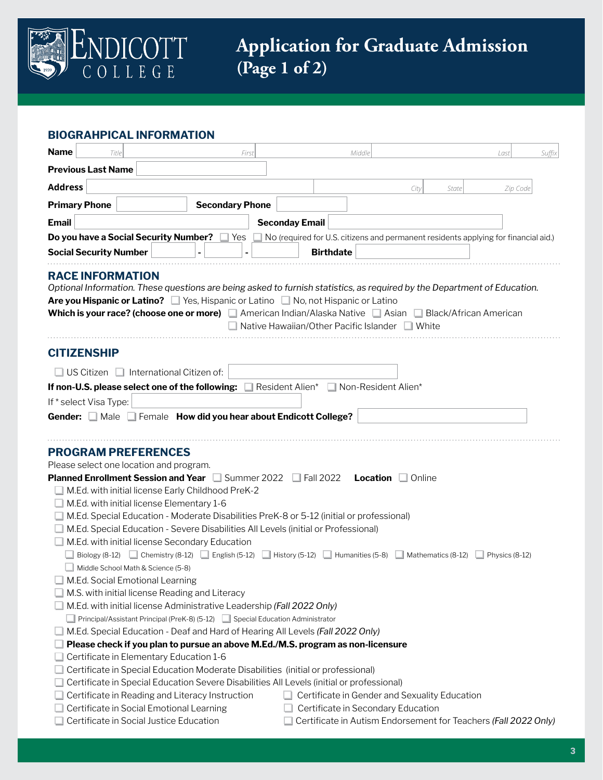

| <b>BIOGRAHPICAL INFORMATION</b> |  |
|---------------------------------|--|
|---------------------------------|--|

| <b>Name</b><br>Title                                                                                                                                                                                                                                                                                                                                                                                                                                                                                                                                                                                                                                                                                                                                                                                                                                                                                                                                                                                                                                                              | First                  | Middle                                         |                                                                                     | Last                                                                                | Suffix |
|-----------------------------------------------------------------------------------------------------------------------------------------------------------------------------------------------------------------------------------------------------------------------------------------------------------------------------------------------------------------------------------------------------------------------------------------------------------------------------------------------------------------------------------------------------------------------------------------------------------------------------------------------------------------------------------------------------------------------------------------------------------------------------------------------------------------------------------------------------------------------------------------------------------------------------------------------------------------------------------------------------------------------------------------------------------------------------------|------------------------|------------------------------------------------|-------------------------------------------------------------------------------------|-------------------------------------------------------------------------------------|--------|
| <b>Previous Last Name</b>                                                                                                                                                                                                                                                                                                                                                                                                                                                                                                                                                                                                                                                                                                                                                                                                                                                                                                                                                                                                                                                         |                        |                                                |                                                                                     |                                                                                     |        |
| <b>Address</b>                                                                                                                                                                                                                                                                                                                                                                                                                                                                                                                                                                                                                                                                                                                                                                                                                                                                                                                                                                                                                                                                    |                        |                                                | City                                                                                | Zip Code<br>State                                                                   |        |
| <b>Primary Phone</b>                                                                                                                                                                                                                                                                                                                                                                                                                                                                                                                                                                                                                                                                                                                                                                                                                                                                                                                                                                                                                                                              | <b>Secondary Phone</b> |                                                |                                                                                     |                                                                                     |        |
| <b>Email</b>                                                                                                                                                                                                                                                                                                                                                                                                                                                                                                                                                                                                                                                                                                                                                                                                                                                                                                                                                                                                                                                                      |                        | <b>Seconday Email</b>                          |                                                                                     |                                                                                     |        |
| <b>Do you have a Social Security Number?</b> U Yes                                                                                                                                                                                                                                                                                                                                                                                                                                                                                                                                                                                                                                                                                                                                                                                                                                                                                                                                                                                                                                |                        |                                                |                                                                                     | No (required for U.S. citizens and permanent residents applying for financial aid.) |        |
| <b>Social Security Number</b>                                                                                                                                                                                                                                                                                                                                                                                                                                                                                                                                                                                                                                                                                                                                                                                                                                                                                                                                                                                                                                                     |                        | <b>Birthdate</b>                               |                                                                                     |                                                                                     |        |
| <b>RACE INFORMATION</b><br>Optional Information. These questions are being asked to furnish statistics, as required by the Department of Education.<br>Are you Hispanic or Latino? ■ Yes, Hispanic or Latino ■ No, not Hispanic or Latino<br>Which is your race? (choose one or more) American Indian/Alaska Native Asian Black/African American                                                                                                                                                                                                                                                                                                                                                                                                                                                                                                                                                                                                                                                                                                                                  |                        | Native Hawaiian/Other Pacific Islander N White |                                                                                     |                                                                                     |        |
| <b>CITIZENSHIP</b>                                                                                                                                                                                                                                                                                                                                                                                                                                                                                                                                                                                                                                                                                                                                                                                                                                                                                                                                                                                                                                                                |                        |                                                |                                                                                     |                                                                                     |        |
| $\Box$ US Citizen $\Box$ International Citizen of:                                                                                                                                                                                                                                                                                                                                                                                                                                                                                                                                                                                                                                                                                                                                                                                                                                                                                                                                                                                                                                |                        |                                                |                                                                                     |                                                                                     |        |
| If non-U.S. please select one of the following: In Resident Alien* In Non-Resident Alien*                                                                                                                                                                                                                                                                                                                                                                                                                                                                                                                                                                                                                                                                                                                                                                                                                                                                                                                                                                                         |                        |                                                |                                                                                     |                                                                                     |        |
| If * select Visa Type:                                                                                                                                                                                                                                                                                                                                                                                                                                                                                                                                                                                                                                                                                                                                                                                                                                                                                                                                                                                                                                                            |                        |                                                |                                                                                     |                                                                                     |        |
| Gender: Male Female How did you hear about Endicott College?                                                                                                                                                                                                                                                                                                                                                                                                                                                                                                                                                                                                                                                                                                                                                                                                                                                                                                                                                                                                                      |                        |                                                |                                                                                     |                                                                                     |        |
| <b>PROGRAM PREFERENCES</b><br>Please select one location and program.<br><b>Planned Enrollment Session and Year</b> Summer 2022 <b>Fall 2022</b><br>M.Ed. with initial license Early Childhood PreK-2<br>M.Ed. with initial license Elementary 1-6<br>M.Ed. Special Education - Moderate Disabilities PreK-8 or 5-12 (initial or professional)<br>M.Ed. Special Education - Severe Disabilities All Levels (initial or Professional)<br>M.Ed. with initial license Secondary Education<br>Biology (8-12) Chemistry (8-12) $\Box$ English (5-12) $\Box$ History (5-12) $\Box$ Humanities (5-8) $\Box$ Mathematics (8-12)<br>Middle School Math & Science (5-8)<br>M.Ed. Social Emotional Learning<br>M.S. with initial license Reading and Literacy<br>M.Ed. with initial license Administrative Leadership (Fall 2022 Only)<br>Principal/Assistant Principal (PreK-8) (5-12) Special Education Administrator<br>M.Ed. Special Education - Deaf and Hard of Hearing All Levels (Fall 2022 Only)<br>Please check if you plan to pursue an above M.Ed./M.S. program as non-licensure |                        |                                                | <b>Location D</b> Online                                                            | $\Box$ Physics (8-12)                                                               |        |
| Certificate in Elementary Education 1-6<br>Certificate in Special Education Moderate Disabilities (initial or professional)<br>Certificate in Special Education Severe Disabilities All Levels (initial or professional)<br>Certificate in Reading and Literacy Instruction<br>Certificate in Social Emotional Learning<br>Certificate in Social Justice Education                                                                                                                                                                                                                                                                                                                                                                                                                                                                                                                                                                                                                                                                                                                |                        |                                                | Certificate in Gender and Sexuality Education<br>Certificate in Secondary Education | $\Box$ Certificate in Autism Endorsement for Teachers (Fall 2022 Only)              |        |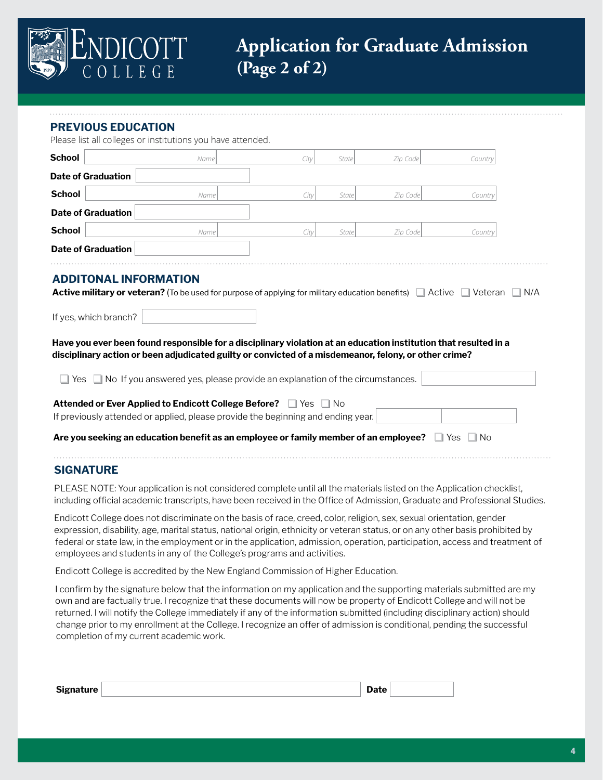

#### **PREVIOUS EDUCATION**

Please list all colleges or institutions you have attended.

| <b>School</b> |                           | Name                         | City                                                                                                                                                                                                                      | State | Zip Code | Country          |     |
|---------------|---------------------------|------------------------------|---------------------------------------------------------------------------------------------------------------------------------------------------------------------------------------------------------------------------|-------|----------|------------------|-----|
|               | <b>Date of Graduation</b> |                              |                                                                                                                                                                                                                           |       |          |                  |     |
| <b>School</b> |                           | Namel                        | City                                                                                                                                                                                                                      | State | Zip Code | Country          |     |
|               | <b>Date of Graduation</b> |                              |                                                                                                                                                                                                                           |       |          |                  |     |
| <b>School</b> |                           | Name                         | City                                                                                                                                                                                                                      | State | Zip Code | Country          |     |
|               | <b>Date of Graduation</b> |                              |                                                                                                                                                                                                                           |       |          |                  |     |
|               | If yes, which branch?     | <b>ADDITONAL INFORMATION</b> | <b>Active military or veteran?</b> (To be used for purpose of applying for military education benefits) 4 Active Veteran                                                                                                  |       |          |                  | N/A |
|               |                           |                              | Have you ever been found responsible for a disciplinary violation at an education institution that resulted in a<br>disciplinary action or been adjudicated guilty or convicted of a misdemeanor, felony, or other crime? |       |          |                  |     |
|               |                           |                              | $\gamma$ es $\Box$ No If you answered yes, please provide an explanation of the circumstances.                                                                                                                            |       |          |                  |     |
|               |                           |                              | Attended or Ever Applied to Endicott College Before? Fig. 1 Yes No<br>If previously attended or applied, please provide the beginning and ending year.                                                                    |       |          |                  |     |
|               |                           |                              | Are you seeking an education benefit as an employee or family member of an employee?                                                                                                                                      |       |          | $\Box$ Yes<br>No |     |
|               |                           |                              |                                                                                                                                                                                                                           |       |          |                  |     |

#### **SIGNATURE**

PLEASE NOTE: Your application is not considered complete until all the materials listed on the Application checklist, including official academic transcripts, have been received in the Office of Admission, Graduate and Professional Studies.

Endicott College does not discriminate on the basis of race, creed, color, religion, sex, sexual orientation, gender expression, disability, age, marital status, national origin, ethnicity or veteran status, or on any other basis prohibited by federal or state law, in the employment or in the application, admission, operation, participation, access and treatment of employees and students in any of the College's programs and activities.

Endicott College is accredited by the New England Commission of Higher Education.

I confirm by the signature below that the information on my application and the supporting materials submitted are my own and are factually true. I recognize that these documents will now be property of Endicott College and will not be returned. I will notify the College immediately if any of the information submitted (including disciplinary action) should change prior to my enrollment at the College. I recognize an offer of admission is conditional, pending the successful completion of my current academic work.

| <b>Signature</b> | Date . |  |
|------------------|--------|--|
|------------------|--------|--|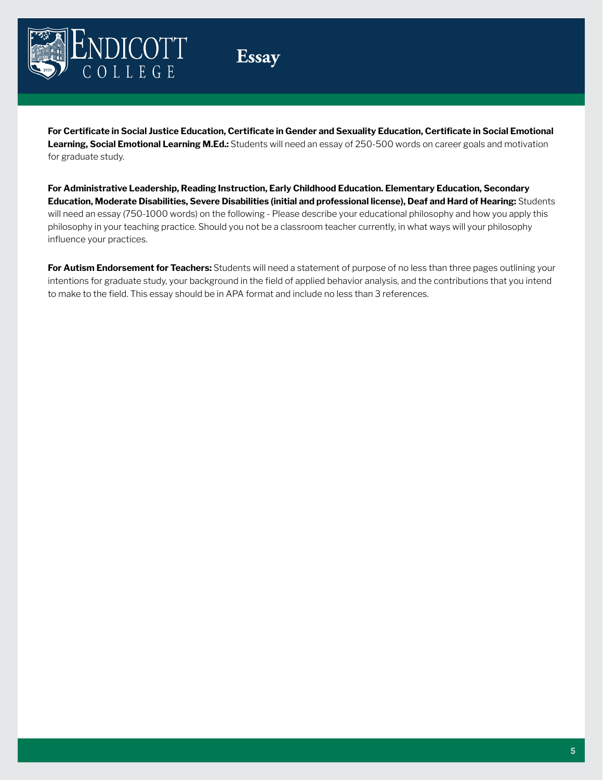

**Essay**

**For Certificate in Social Justice Education, Certificate in Gender and Sexuality Education, Certificate in Social Emotional Learning, Social Emotional Learning M.Ed.:** Students will need an essay of 250-500 words on career goals and motivation for graduate study.

**For Administrative Leadership, Reading Instruction, Early Childhood Education. Elementary Education, Secondary Education, Moderate Disabilities, Severe Disabilities (initial and professional license), Deaf and Hard of Hearing:** Students will need an essay (750-1000 words) on the following - Please describe your educational philosophy and how you apply this philosophy in your teaching practice. Should you not be a classroom teacher currently, in what ways will your philosophy influence your practices.

**For Autism Endorsement for Teachers:** Students will need a statement of purpose of no less than three pages outlining your intentions for graduate study, your background in the field of applied behavior analysis, and the contributions that you intend to make to the field. This essay should be in APA format and include no less than 3 references.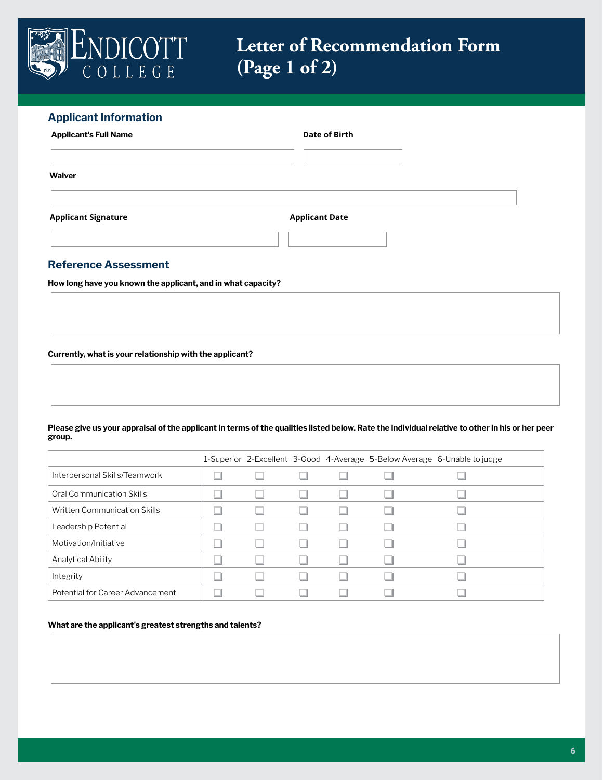

# **Letter of Recommendation Form (Page 1 of 2)**

# **Applicant Information Applicant's Full Name Date of Birth Waiver**

Applicant Signature **Applicant Date** 

### **Reference Assessment**

**How long have you known the applicant, and in what capacity?**

**Currently, what is your relationship with the applicant?**

**Please give us your appraisal of the applicant in terms of the qualities listed below. Rate the individual relative to other in his or her peer group.** 

|                                  |  |  | 1-Superior 2-Excellent 3-Good 4-Average 5-Below Average 6-Unable to judge |
|----------------------------------|--|--|---------------------------------------------------------------------------|
| Interpersonal Skills/Teamwork    |  |  |                                                                           |
| Oral Communication Skills        |  |  |                                                                           |
| Written Communication Skills     |  |  |                                                                           |
| Leadership Potential             |  |  |                                                                           |
| Motivation/Initiative            |  |  |                                                                           |
| Analytical Ability               |  |  |                                                                           |
| Integrity                        |  |  |                                                                           |
| Potential for Career Advancement |  |  |                                                                           |

#### **What are the applicant's greatest strengths and talents?**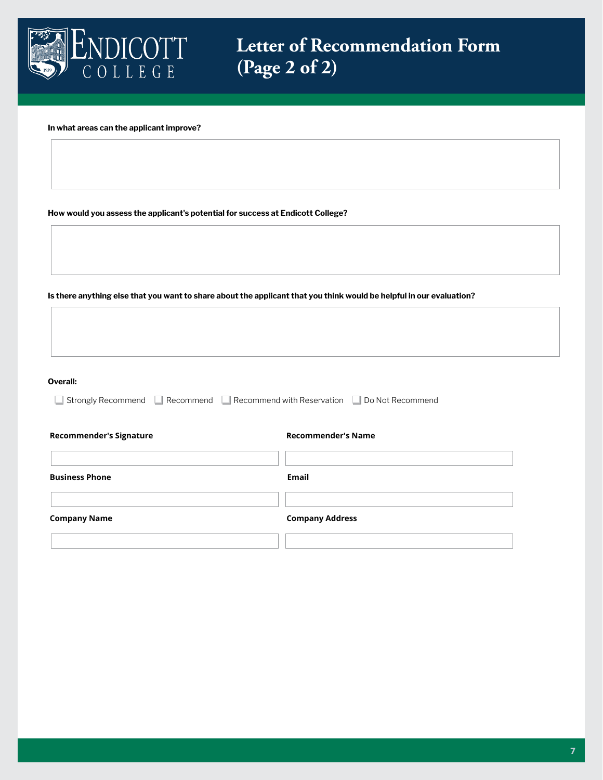

**Letter of Recommendation Form (Page 2 of 2)**

**In what areas can the applicant improve?**

**How would you assess the applicant's potential for success at Endicott College?**

**Is there anything else that you want to share about the applicant that you think would be helpful in our evaluation?**

| Overall:                                                                                |                           |
|-----------------------------------------------------------------------------------------|---------------------------|
| Strongly Recommend G Recommend G Recommend with Reservation G Do Not Recommend<br>$\pm$ |                           |
|                                                                                         |                           |
| <b>Recommender's Signature</b>                                                          | <b>Recommender's Name</b> |
|                                                                                         |                           |
| <b>Business Phone</b>                                                                   | <b>Email</b>              |
|                                                                                         |                           |
| <b>Company Name</b>                                                                     | <b>Company Address</b>    |
|                                                                                         |                           |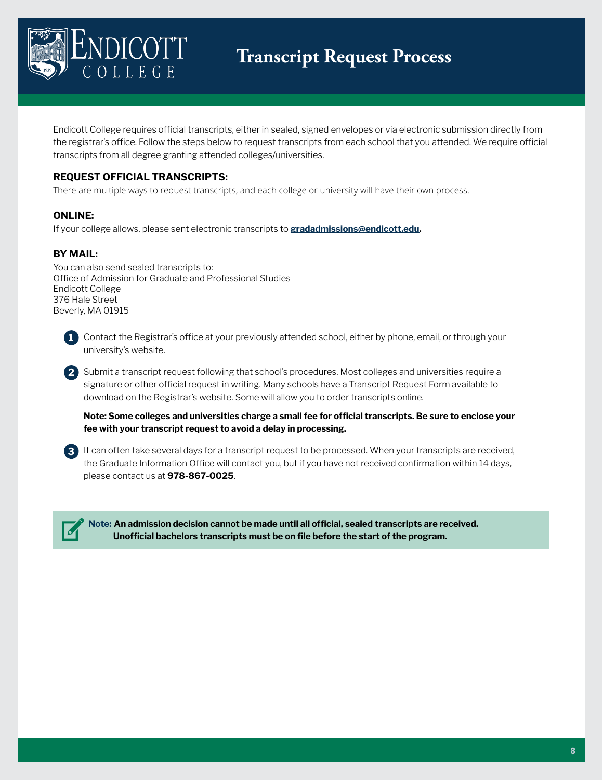

Endicott College requires official transcripts, either in sealed, signed envelopes or via electronic submission directly from the registrar's office. Follow the steps below to request transcripts from each school that you attended. We require official transcripts from all degree granting attended colleges/universities.

### **REQUEST OFFICIAL TRANSCRIPTS:**

There are multiple ways to request transcripts, and each college or university will have their own process.

#### **ONLINE:**

If your college allows, please sent electronic transcripts to **[gradadmissions@endicott.edu.](mailto:gradadmissions%40endicott.edu?subject=)**

### **BY MAIL:**

You can also send sealed transcripts to: Office of Admission for Graduate and Professional Studies Endicott College 376 Hale Street Beverly, MA 01915



**1** Contact the Registrar's office at your previously attended school, either by phone, email, or through your university's website.

**2** Submit a transcript request following that school's procedures. Most colleges and universities require a signature or other official request in writing. Many schools have a Transcript Request Form available to download on the Registrar's website. Some will allow you to order transcripts online.

**Note: Some colleges and universities charge a small fee for official transcripts. Be sure to enclose your fee with your transcript request to avoid a delay in processing.** 

**3** It can often take several days for a transcript request to be processed. When your transcripts are received, the Graduate Information Office will contact you, but if you have not received confirmation within 14 days, please contact us at **978-867-0025**.



**Note: An admission decision cannot be made until all official, sealed transcripts are received. Unofficial bachelors transcripts must be on file before the start of the program.**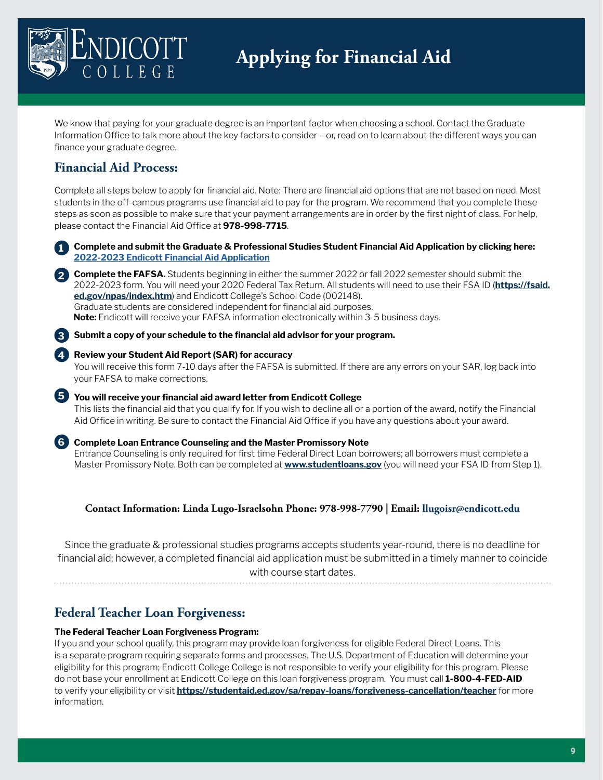

We know that paying for your graduate degree is an important factor when choosing a school. Contact the Graduate Information Office to talk more about the key factors to consider – or, read on to learn about the different ways you can finance your graduate degree.

# **Financial Aid Process:**

**3**

Complete all steps below to apply for financial aid. Note: There are financial aid options that are not based on need. Most students in the off-campus programs use financial aid to pay for the program. We recommend that you complete these steps as soon as possible to make sure that your payment arrangements are in order by the first night of class. For help, please contact the Financial Aid Office at **978-998-7715**.

**Complete and submit the Graduate & Professional Studies Student Financial Aid Application by clicking here: [2022-2023 Endicott Financial Aid Application](https://www.graduateprogram.org/endicott-college/how-to-pay/) 1**

**Complete the FAFSA.** Students beginning in either the summer 2022 or fall 2022 semester should submit the **2** 2022-2023 form. You will need your 2020 Federal Tax Return. All students will need to use their FSA ID (**[https://fsaid.](https://fsaid.ed.gov/npas/index.htm) [ed.gov/npas/index.htm](https://fsaid.ed.gov/npas/index.htm)**) and Endicott College's School Code (002148). Graduate students are considered independent for financial aid purposes. **Note:** Endicott will receive your FAFSA information electronically within 3-5 business days.

**Submit a copy of your schedule to the financial aid advisor for your program.**

#### **Review your Student Aid Report (SAR) for accuracy 4**

You will receive this form 7-10 days after the FAFSA is submitted. If there are any errors on your SAR, log back into your FAFSA to make corrections.

**You will receive your financial aid award letter from Endicott College 5**This lists the financial aid that you qualify for. If you wish to decline all or a portion of the award, notify the Financial Aid Office in writing. Be sure to contact the Financial Aid Office if you have any questions about your award.

#### **6 Complete Loan Entrance Counseling and the Master Promissory Note**

Entrance Counseling is only required for first time Federal Direct Loan borrowers; all borrowers must complete a Master Promissory Note. Both can be completed at **[www.studentloans.gov](http://www.studentloans.gov)** (you will need your FSA ID from Step 1).

### **Contact Information: Linda Lugo-Israelsohn Phone: 978-998-7790 | Email: [llugoisr@endicott.edu](mailto:llugoisr%40endicott.edu?subject=)**

Since the graduate & professional studies programs accepts students year-round, there is no deadline for financial aid; however, a completed financial aid application must be submitted in a timely manner to coincide with course start dates.

# **Federal Teacher Loan Forgiveness:**

#### **The Federal Teacher Loan Forgiveness Program:**

If you and your school qualify, this program may provide loan forgiveness for eligible Federal Direct Loans. This is a separate program requiring separate forms and processes. The U.S. Department of Education will determine your eligibility for this program; Endicott College College is not responsible to verify your eligibility for this program. Please do not base your enrollment at Endicott College on this loan forgiveness program. You must call **1-800-4-FED-AID**  to verify your eligibility or visit **<https://studentaid.ed.gov/sa/repay-loans/forgiveness-cancellation/teacher>** for more information.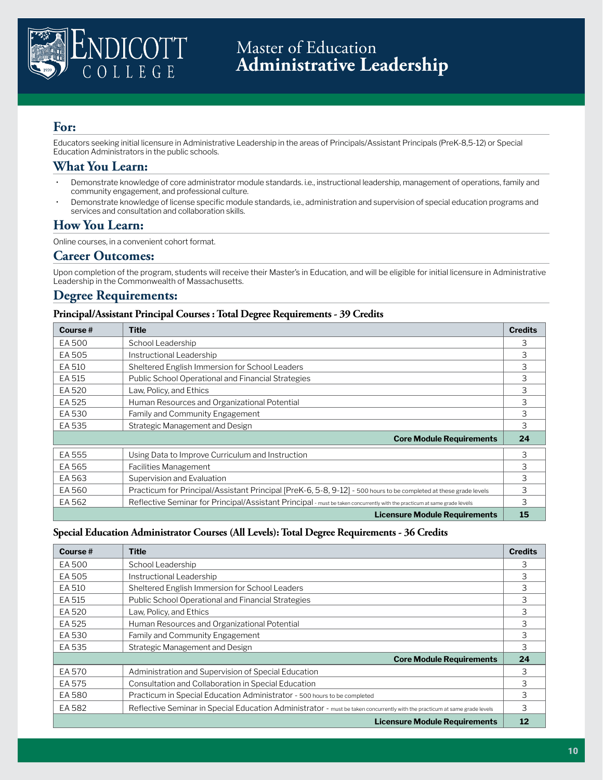

Educators seeking initial licensure in Administrative Leadership in the areas of Principals/Assistant Principals (PreK-8,5-12) or Special Education Administrators in the public schools.

### **What You Learn:**

- Demonstrate knowledge of core administrator module standards. i.e., instructional leadership, management of operations, family and community engagement, and professional culture.
- Demonstrate knowledge of license specific module standards, i.e., administration and supervision of special education programs and services and consultation and collaboration skills.

### **How You Learn:**

Online courses, in a convenient cohort format.

#### **Career Outcomes:**

Upon completion of the program, students will receive their Master's in Education, and will be eligible for initial licensure in Administrative Leadership in the Commonwealth of Massachusetts.

# **Degree Requirements:**

#### **Principal/Assistant Principal Courses : Total Degree Requirements - 39 Credits**

| Course # | <b>Title</b>                                                                                                              | <b>Credits</b> |
|----------|---------------------------------------------------------------------------------------------------------------------------|----------------|
| EA 500   | School Leadership                                                                                                         | 3              |
| EA 505   | Instructional Leadership                                                                                                  | 3              |
| EA 510   | Sheltered English Immersion for School Leaders                                                                            | 3              |
| EA 515   | Public School Operational and Financial Strategies                                                                        | 3              |
| EA 520   | Law, Policy, and Ethics                                                                                                   | 3              |
| EA 525   | Human Resources and Organizational Potential                                                                              | 3              |
| EA 530   | Family and Community Engagement                                                                                           | 3              |
| EA 535   | Strategic Management and Design                                                                                           | 3              |
|          | <b>Core Module Requirements</b>                                                                                           | 24             |
| EA 555   | Using Data to Improve Curriculum and Instruction                                                                          | 3              |
| EA 565   | Facilities Management                                                                                                     | 3              |
| EA 563   | Supervision and Evaluation                                                                                                | 3              |
| EA 560   | Practicum for Principal/Assistant Principal [PreK-6, 5-8, 9-12] - 500 hours to be completed at these grade levels         | 3              |
| EA 562   | Reflective Seminar for Principal/Assistant Principal - must be taken concurrently with the practicum at same grade levels | 3              |
|          | <b>Licensure Module Requirements</b>                                                                                      | 15             |

#### **Special Education Administrator Courses (All Levels): Total Degree Requirements - 36 Credits**

| Course $#$ | Title                                                                                                                      | <b>Credits</b> |
|------------|----------------------------------------------------------------------------------------------------------------------------|----------------|
| EA 500     | School Leadership                                                                                                          | 3              |
| EA 505     | Instructional Leadership                                                                                                   | 3              |
| EA 510     | Sheltered English Immersion for School Leaders                                                                             | 3              |
| EA 515     | Public School Operational and Financial Strategies                                                                         | 3              |
| EA 520     | Law, Policy, and Ethics                                                                                                    | 3              |
| EA 525     | Human Resources and Organizational Potential                                                                               | 3              |
| EA 530     | Family and Community Engagement                                                                                            | 3              |
| EA 535     | Strategic Management and Design                                                                                            | 3              |
|            | <b>Core Module Requirements</b>                                                                                            | 24             |
| EA 570     | Administration and Supervision of Special Education                                                                        | 3              |
| EA 575     | Consultation and Collaboration in Special Education                                                                        | 3              |
| EA 580     | Practicum in Special Education Administrator - 500 hours to be completed                                                   | 3              |
| EA 582     | Reflective Seminar in Special Education Administrator - must be taken concurrently with the practicum at same grade levels | 3              |
|            | Licensure Module Requirements                                                                                              | 12             |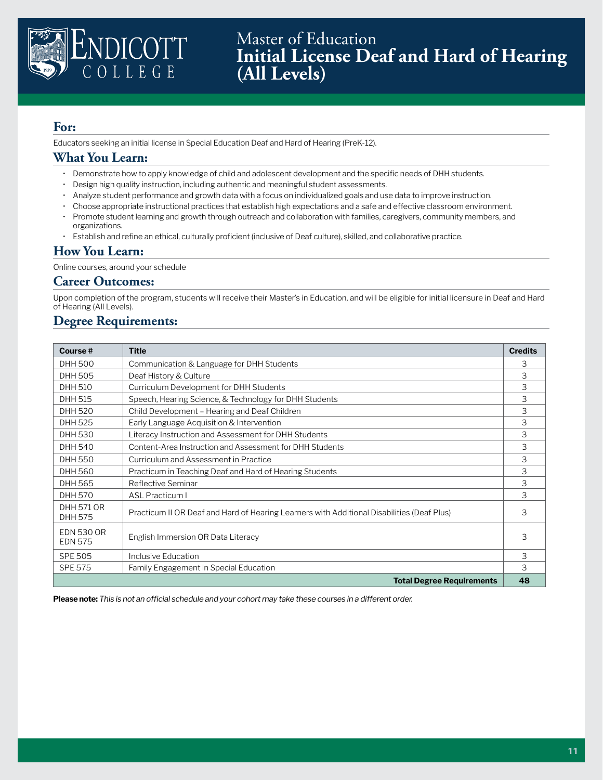

Master of Education **Initial License Deaf and Hard of Hearing (All Levels)** 

# **For:**

Educators seeking an initial license in Special Education Deaf and Hard of Hearing (PreK-12).

### **What You Learn:**

- Demonstrate how to apply knowledge of child and adolescent development and the specific needs of DHH students.
- Design high quality instruction, including authentic and meaningful student assessments.
- Analyze student performance and growth data with a focus on individualized goals and use data to improve instruction.
- Choose appropriate instructional practices that establish high expectations and a safe and effective classroom environment.
- Promote student learning and growth through outreach and collaboration with families, caregivers, community members, and organizations.
- Establish and refine an ethical, culturally proficient (inclusive of Deaf culture), skilled, and collaborative practice.

# **How You Learn:**

Online courses, around your schedule

### **Career Outcomes:**

Upon completion of the program, students will receive their Master's in Education, and will be eligible for initial licensure in Deaf and Hard of Hearing (All Levels).

# **Degree Requirements:**

| Course#                             | <b>Title</b>                                                                               | <b>Credits</b> |
|-------------------------------------|--------------------------------------------------------------------------------------------|----------------|
| <b>DHH 500</b>                      | Communication & Language for DHH Students                                                  | 3              |
| DHH 505                             | Deaf History & Culture                                                                     | 3              |
| <b>DHH 510</b>                      | Curriculum Development for DHH Students                                                    | 3              |
| DHH 515                             | Speech, Hearing Science, & Technology for DHH Students                                     | 3              |
| <b>DHH 520</b>                      | Child Development – Hearing and Deaf Children                                              | 3              |
| DHH 525                             | Early Language Acquisition & Intervention                                                  | 3              |
| <b>DHH 530</b>                      | Literacy Instruction and Assessment for DHH Students                                       | 3              |
| <b>DHH 540</b>                      | Content-Area Instruction and Assessment for DHH Students                                   | 3              |
| <b>DHH 550</b>                      | Curriculum and Assessment in Practice                                                      | 3              |
| <b>DHH 560</b>                      | Practicum in Teaching Deaf and Hard of Hearing Students                                    | 3              |
| <b>DHH 565</b>                      | Reflective Seminar                                                                         | 3              |
| <b>DHH 570</b>                      | <b>ASL Practicum I</b>                                                                     | 3              |
| DHH 571 OR<br>DHH 575               | Practicum II OR Deaf and Hard of Hearing Learners with Additional Disabilities (Deaf Plus) | 3              |
| <b>EDN 530 OR</b><br><b>EDN 575</b> | English Immersion OR Data Literacy                                                         | 3              |
| <b>SPE 505</b>                      | Inclusive Education                                                                        | 3              |
| <b>SPE 575</b>                      | Family Engagement in Special Education                                                     | 3              |
|                                     | <b>Total Degree Requirements</b>                                                           | 48             |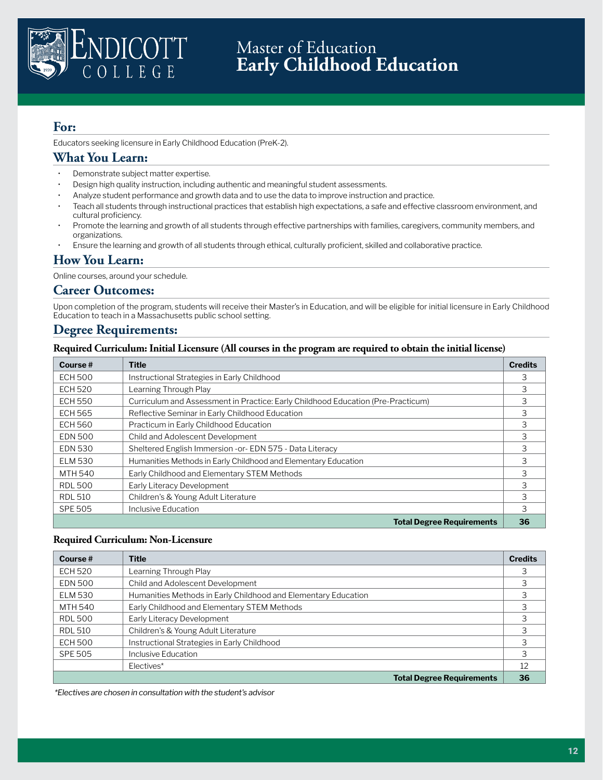

Educators seeking licensure in Early Childhood Education (PreK-2).

# **What You Learn:**

- Demonstrate subject matter expertise.
- Design high quality instruction, including authentic and meaningful student assessments.
- Analyze student performance and growth data and to use the data to improve instruction and practice.
- Teach all students through instructional practices that establish high expectations, a safe and effective classroom environment, and cultural proficiency.
- Promote the learning and growth of all students through effective partnerships with families, caregivers, community members, and organizations.
- Ensure the learning and growth of all students through ethical, culturally proficient, skilled and collaborative practice.

### **How You Learn:**

Online courses, around your schedule.

#### **Career Outcomes:**

Upon completion of the program, students will receive their Master's in Education, and will be eligible for initial licensure in Early Childhood Education to teach in a Massachusetts public school setting.

### **Degree Requirements:**

#### **Required Curriculum: Initial Licensure (All courses in the program are required to obtain the initial license)**

| Course#        | <b>Title</b>                                                                     | <b>Credits</b> |
|----------------|----------------------------------------------------------------------------------|----------------|
| <b>ECH 500</b> | Instructional Strategies in Early Childhood                                      | 3              |
| <b>ECH 520</b> | Learning Through Play                                                            | 3              |
| <b>ECH 550</b> | Curriculum and Assessment in Practice: Early Childhood Education (Pre-Practicum) | 3              |
| <b>ECH 565</b> | Reflective Seminar in Early Childhood Education                                  | 3              |
| <b>ECH 560</b> | Practicum in Early Childhood Education                                           | 3              |
| <b>EDN 500</b> | Child and Adolescent Development                                                 | 3              |
| <b>EDN 530</b> | Sheltered English Immersion - or- EDN 575 - Data Literacy                        | 3              |
| <b>ELM 530</b> | Humanities Methods in Early Childhood and Elementary Education                   | 3              |
| MTH 540        | Early Childhood and Elementary STEM Methods                                      | 3              |
| <b>RDL 500</b> | Early Literacy Development                                                       | 3              |
| <b>RDL 510</b> | Children's & Young Adult Literature                                              | 3              |
| <b>SPE 505</b> | Inclusive Education                                                              | 3              |
|                | <b>Total Degree Requirements</b>                                                 | 36             |

#### **Required Curriculum: Non-Licensure**

| Course $#$     | <b>Title</b>                                                   | <b>Credits</b> |
|----------------|----------------------------------------------------------------|----------------|
| <b>ECH 520</b> | Learning Through Play                                          | 3              |
| <b>EDN 500</b> | Child and Adolescent Development                               |                |
| <b>ELM 530</b> | Humanities Methods in Early Childhood and Elementary Education |                |
| MTH 540        | Early Childhood and Elementary STEM Methods                    |                |
| <b>RDL 500</b> | Early Literacy Development                                     |                |
| <b>RDL 510</b> | Children's & Young Adult Literature                            | 3              |
| <b>ECH 500</b> | Instructional Strategies in Early Childhood                    |                |
| <b>SPE 505</b> | Inclusive Education                                            | 3              |
|                | Electives*                                                     | 12             |
|                | <b>Total Degree Requirements</b>                               | 36             |

 *\*Electives are chosen in consultation with the student's advisor*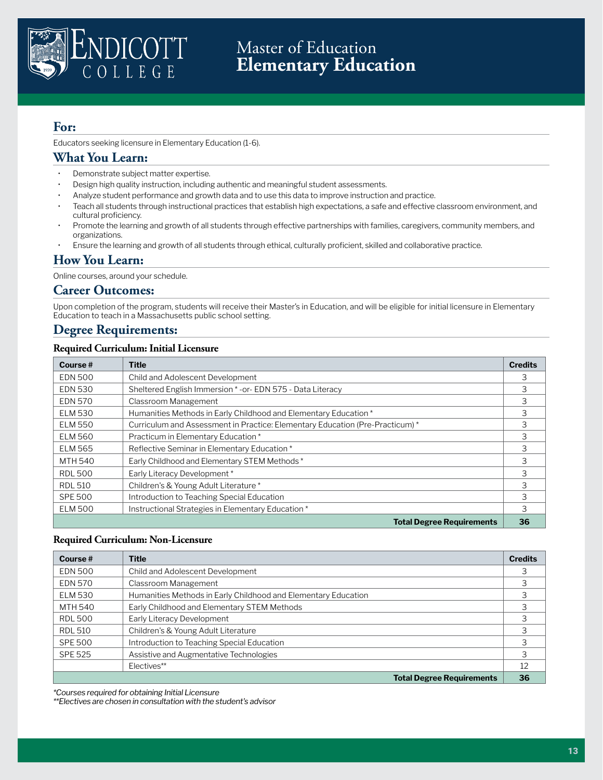

# Master of Education **Elementary Education**

## **For:**

Educators seeking licensure in Elementary Education (1-6).

# **What You Learn:**

- Demonstrate subject matter expertise.
- Design high quality instruction, including authentic and meaningful student assessments.
- Analyze student performance and growth data and to use this data to improve instruction and practice.
- Teach all students through instructional practices that establish high expectations, a safe and effective classroom environment, and cultural proficiency.
- Promote the learning and growth of all students through effective partnerships with families, caregivers, community members, and organizations.
- Ensure the learning and growth of all students through ethical, culturally proficient, skilled and collaborative practice.

### **How You Learn:**

Online courses, around your schedule.

#### **Career Outcomes:**

Upon completion of the program, students will receive their Master's in Education, and will be eligible for initial licensure in Elementary Education to teach in a Massachusetts public school setting.

### **Degree Requirements:**

#### **Required Curriculum: Initial Licensure**

| Course#        | <b>Title</b>                                                                  | <b>Credits</b> |
|----------------|-------------------------------------------------------------------------------|----------------|
| <b>EDN 500</b> | Child and Adolescent Development                                              | 3              |
| <b>EDN 530</b> | Sheltered English Immersion *- or-EDN 575 - Data Literacy                     | 3              |
| <b>EDN 570</b> | Classroom Management                                                          | 3              |
| <b>ELM 530</b> | Humanities Methods in Early Childhood and Elementary Education *              | 3              |
| <b>ELM 550</b> | Curriculum and Assessment in Practice: Elementary Education (Pre-Practicum) * | 3              |
| <b>ELM 560</b> | Practicum in Elementary Education*                                            | 3              |
| <b>ELM 565</b> | Reflective Seminar in Elementary Education*                                   | 3              |
| MTH 540        | Early Childhood and Elementary STEM Methods *                                 | 3              |
| <b>RDL 500</b> | Early Literacy Development*                                                   | 3              |
| <b>RDL 510</b> | Children's & Young Adult Literature *                                         | 3              |
| <b>SPE 500</b> | Introduction to Teaching Special Education                                    | 3              |
| <b>ELM 500</b> | Instructional Strategies in Elementary Education*                             | 3              |
|                | <b>Total Degree Requirements</b>                                              | 36             |

#### **Required Curriculum: Non-Licensure**

| Course $#$     | <b>Title</b>                                                   | <b>Credits</b> |
|----------------|----------------------------------------------------------------|----------------|
| <b>EDN 500</b> | Child and Adolescent Development                               | 3              |
| <b>EDN 570</b> | Classroom Management                                           | 3              |
| <b>ELM 530</b> | Humanities Methods in Early Childhood and Elementary Education | 3              |
| MTH 540        | Early Childhood and Elementary STEM Methods                    | 3              |
| <b>RDL 500</b> | Early Literacy Development                                     |                |
| <b>RDL 510</b> | Children's & Young Adult Literature                            |                |
| <b>SPE 500</b> | Introduction to Teaching Special Education                     | 3              |
| <b>SPE 525</b> | Assistive and Augmentative Technologies                        | 3              |
|                | Electives**                                                    | 12             |
|                | <b>Total Degree Requirements</b>                               | 36             |

*\*Courses required for obtaining Initial Licensure*

*\*\*Electives are chosen in consultation with the student's advisor*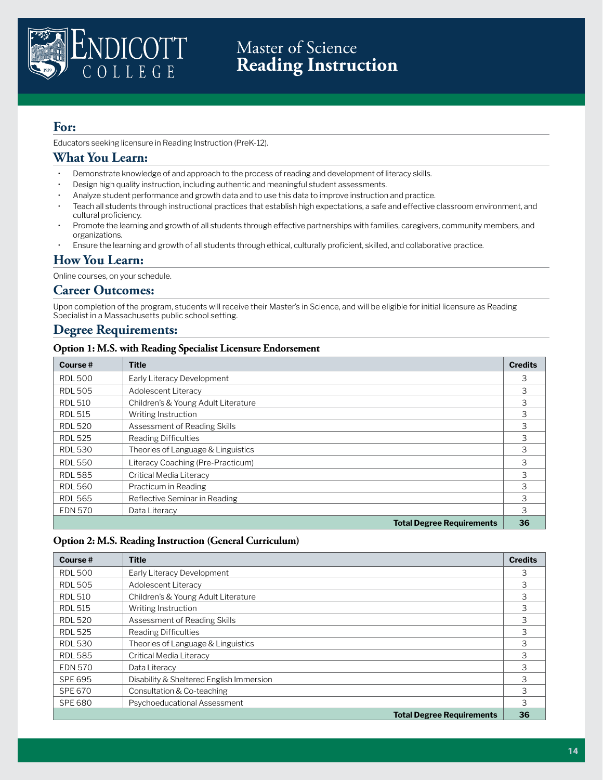

# Master of Science **Reading Instruction**

# **For:**

Educators seeking licensure in Reading Instruction (PreK-12).

## **What You Learn:**

- Demonstrate knowledge of and approach to the process of reading and development of literacy skills.
- Design high quality instruction, including authentic and meaningful student assessments.
- Analyze student performance and growth data and to use this data to improve instruction and practice.
- Teach all students through instructional practices that establish high expectations, a safe and effective classroom environment, and cultural proficiency.
- Promote the learning and growth of all students through effective partnerships with families, caregivers, community members, and organizations.
- Ensure the learning and growth of all students through ethical, culturally proficient, skilled, and collaborative practice.

### **How You Learn:**

Online courses, on your schedule.

### **Career Outcomes:**

Upon completion of the program, students will receive their Master's in Science, and will be eligible for initial licensure as Reading Specialist in a Massachusetts public school setting.

### **Degree Requirements:**

#### **Option 1: M.S. with Reading Specialist Licensure Endorsement**

| Course $#$     | <b>Title</b>                        | <b>Credits</b> |
|----------------|-------------------------------------|----------------|
| <b>RDL 500</b> | Early Literacy Development          | 3              |
| <b>RDL 505</b> | Adolescent Literacy                 | 3              |
| <b>RDL 510</b> | Children's & Young Adult Literature | 3              |
| <b>RDL 515</b> | Writing Instruction                 | 3              |
| <b>RDL 520</b> | Assessment of Reading Skills        | 3              |
| <b>RDL 525</b> | <b>Reading Difficulties</b>         | 3              |
| <b>RDL 530</b> | Theories of Language & Linguistics  | 3              |
| <b>RDL 550</b> | Literacy Coaching (Pre-Practicum)   | 3              |
| <b>RDL 585</b> | Critical Media Literacy             | 3              |
| <b>RDL 560</b> | Practicum in Reading                | 3              |
| <b>RDL 565</b> | Reflective Seminar in Reading       | 3              |
| <b>EDN 570</b> | Data Literacy                       | 3              |
|                | <b>Total Degree Requirements</b>    | 36             |

#### **Option 2: M.S. Reading Instruction (General Curriculum)**

| Course $#$     | Title                                    | <b>Credits</b> |
|----------------|------------------------------------------|----------------|
| <b>RDL 500</b> | Early Literacy Development               | 3              |
| <b>RDL 505</b> | Adolescent Literacy                      | 3              |
| <b>RDL 510</b> | Children's & Young Adult Literature      | 3              |
| <b>RDL 515</b> | Writing Instruction                      | 3              |
| <b>RDL 520</b> | Assessment of Reading Skills             | 3              |
| <b>RDL 525</b> | <b>Reading Difficulties</b>              | 3              |
| <b>RDL 530</b> | Theories of Language & Linguistics       | 3              |
| <b>RDL 585</b> | Critical Media Literacy                  | 3              |
| <b>EDN 570</b> | Data Literacy                            | 3              |
| <b>SPE 695</b> | Disability & Sheltered English Immersion | 3              |
| <b>SPE 670</b> | Consultation & Co-teaching               | 3              |
| <b>SPE 680</b> | Psychoeducational Assessment             | 3              |
|                | <b>Total Degree Requirements</b>         | 36             |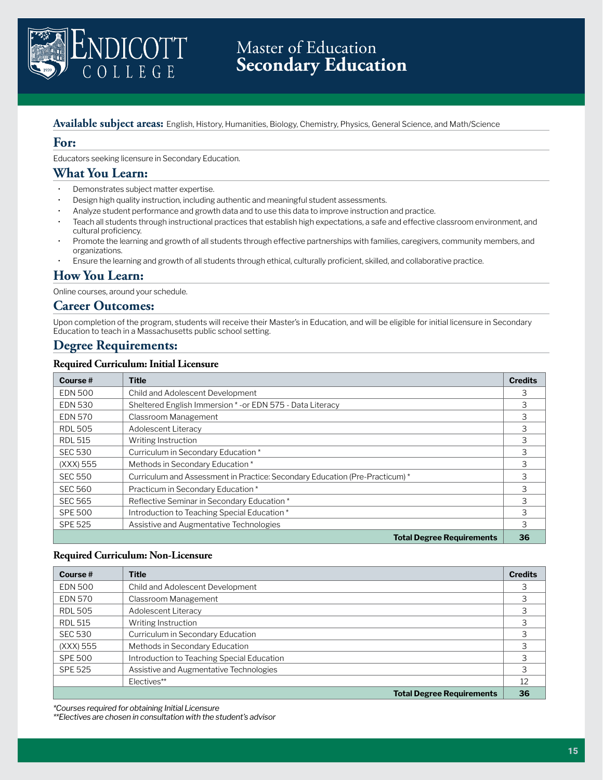

# Master of Education **Secondary Education**

#### **Available subject areas:** English, History, Humanities, Biology, Chemistry, Physics, General Science, and Math/Science

### **For:**

Educators seeking licensure in Secondary Education.

### **What You Learn:**

- Demonstrates subject matter expertise.
- Design high quality instruction, including authentic and meaningful student assessments.
- Analyze student performance and growth data and to use this data to improve instruction and practice.
- Teach all students through instructional practices that establish high expectations, a safe and effective classroom environment, and cultural proficiency.
- Promote the learning and growth of all students through effective partnerships with families, caregivers, community members, and organizations.
- Ensure the learning and growth of all students through ethical, culturally proficient, skilled, and collaborative practice.

### **How You Learn:**

Online courses, around your schedule.

#### **Career Outcomes:**

Upon completion of the program, students will receive their Master's in Education, and will be eligible for initial licensure in Secondary Education to teach in a Massachusetts public school setting.

# **Degree Requirements:**

#### **Required Curriculum: Initial Licensure**

| Course#        | <b>Title</b>                                                                 | <b>Credits</b> |
|----------------|------------------------------------------------------------------------------|----------------|
| <b>EDN 500</b> | Child and Adolescent Development                                             | 3              |
| <b>EDN 530</b> | Sheltered English Immersion *- or EDN 575 - Data Literacy                    | 3              |
| <b>EDN 570</b> | Classroom Management                                                         | 3              |
| <b>RDL 505</b> | Adolescent Literacy                                                          | 3              |
| <b>RDL 515</b> | Writing Instruction                                                          | 3              |
| <b>SEC 530</b> | Curriculum in Secondary Education*                                           | 3              |
| (XXX) 555      | Methods in Secondary Education*                                              | 3              |
| <b>SEC 550</b> | Curriculum and Assessment in Practice: Secondary Education (Pre-Practicum) * | 3              |
| <b>SEC 560</b> | Practicum in Secondary Education*                                            | 3              |
| <b>SEC 565</b> | Reflective Seminar in Secondary Education*                                   | 3              |
| <b>SPE 500</b> | Introduction to Teaching Special Education *                                 | 3              |
| <b>SPE 525</b> | Assistive and Augmentative Technologies                                      | 3              |
|                | <b>Total Degree Requirements</b>                                             | 36             |

#### **Required Curriculum: Non-Licensure**

| Course $#$     | <b>Title</b>                               | <b>Credits</b> |
|----------------|--------------------------------------------|----------------|
| <b>EDN 500</b> | Child and Adolescent Development           | 3              |
| <b>EDN 570</b> | Classroom Management                       |                |
| <b>RDL 505</b> | Adolescent Literacy                        | 3              |
| <b>RDL 515</b> | Writing Instruction                        | 3              |
| <b>SEC 530</b> | Curriculum in Secondary Education          |                |
| (XXX) 555      | Methods in Secondary Education             |                |
| <b>SPE 500</b> | Introduction to Teaching Special Education | 3              |
| <b>SPE 525</b> | Assistive and Augmentative Technologies    | 3              |
|                | Electives**                                | 12             |
|                | <b>Total Degree Requirements</b>           | 36             |

*\*Courses required for obtaining Initial Licensure*

*\*\*Electives are chosen in consultation with the student's advisor*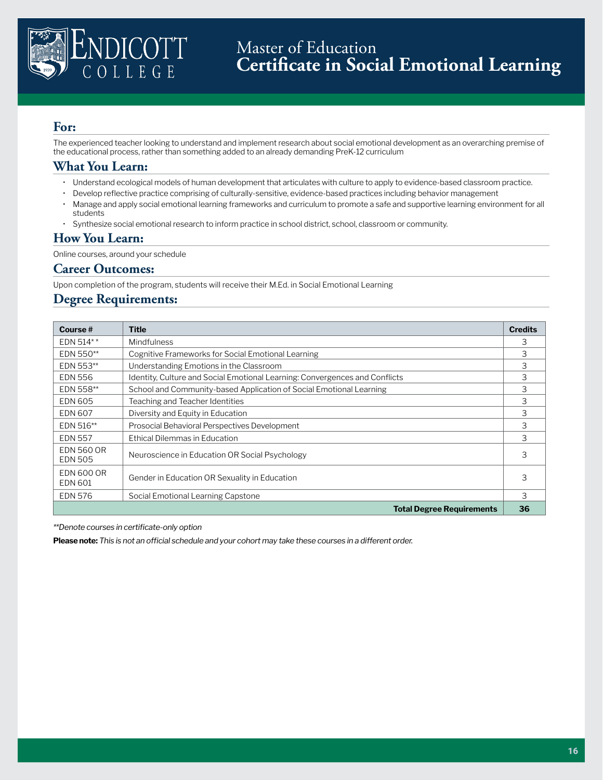

The experienced teacher looking to understand and implement research about social emotional development as an overarching premise of the educational process, rather than something added to an already demanding PreK-12 curriculum

### **What You Learn:**

- Understand ecological models of human development that articulates with culture to apply to evidence-based classroom practice.
- Develop reflective practice comprising of culturally-sensitive, evidence-based practices including behavior management
- Manage and apply social emotional learning frameworks and curriculum to promote a safe and supportive learning environment for all students
- Synthesize social emotional research to inform practice in school district, school, classroom or community.

### **How You Learn:**

Online courses, around your schedule

### **Career Outcomes:**

Upon completion of the program, students will receive their M.Ed. in Social Emotional Learning

### **Degree Requirements:**

| Course $#$                          | <b>Title</b>                                                                | <b>Credits</b> |
|-------------------------------------|-----------------------------------------------------------------------------|----------------|
| EDN 514**                           | Mindfulness                                                                 | 3              |
| EDN 550**                           | Cognitive Frameworks for Social Emotional Learning                          | 3              |
| EDN 553**                           | Understanding Emotions in the Classroom                                     | 3              |
| <b>EDN 556</b>                      | Identity, Culture and Social Emotional Learning: Convergences and Conflicts | 3              |
| EDN 558**                           | School and Community-based Application of Social Emotional Learning         | 3              |
| <b>EDN 605</b>                      | Teaching and Teacher Identities                                             | 3              |
| <b>EDN 607</b>                      | Diversity and Equity in Education                                           | 3              |
| EDN 516**                           | Prosocial Behavioral Perspectives Development                               | 3              |
| <b>EDN 557</b>                      | Ethical Dilemmas in Education                                               | 3              |
| <b>EDN 560 OR</b><br><b>EDN 505</b> | Neuroscience in Education OR Social Psychology                              | 3              |
| <b>EDN 600 OR</b><br><b>EDN 601</b> | Gender in Education OR Sexuality in Education                               | 3              |
| EDN 576                             | Social Emotional Learning Capstone                                          | 3              |
|                                     | <b>Total Degree Requirements</b>                                            | 36             |

*\*\*Denote courses in certificate-only option*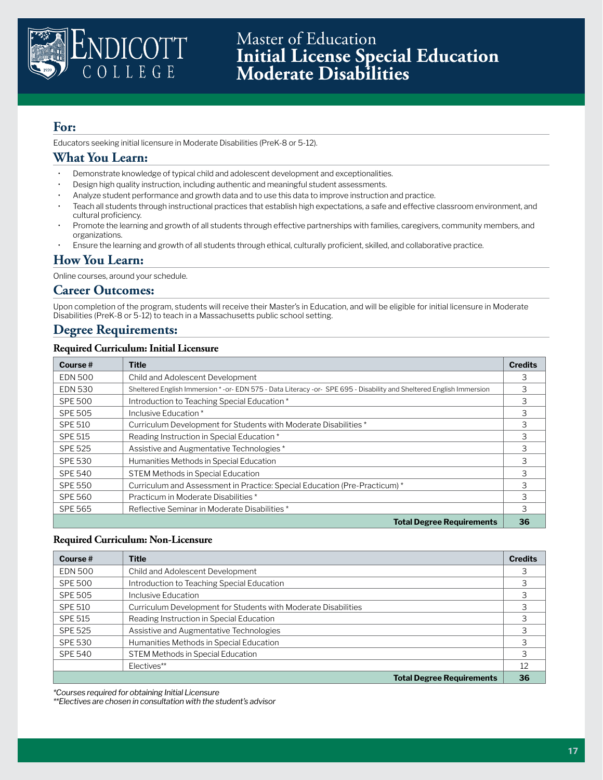

Educators seeking initial licensure in Moderate Disabilities (PreK-8 or 5-12).

### **What You Learn:**

- Demonstrate knowledge of typical child and adolescent development and exceptionalities.
- Design high quality instruction, including authentic and meaningful student assessments.
- Analyze student performance and growth data and to use this data to improve instruction and practice.
- Teach all students through instructional practices that establish high expectations, a safe and effective classroom environment, and cultural proficiency.
- Promote the learning and growth of all students through effective partnerships with families, caregivers, community members, and organizations.
- Ensure the learning and growth of all students through ethical, culturally proficient, skilled, and collaborative practice.

### **How You Learn:**

Online courses, around your schedule.

#### **Career Outcomes:**

Upon completion of the program, students will receive their Master's in Education, and will be eligible for initial licensure in Moderate Disabilities (PreK-8 or 5-12) to teach in a Massachusetts public school setting.

### **Degree Requirements:**

#### **Required Curriculum: Initial Licensure**

| Course $#$     | <b>Title</b>                                                                                                      | <b>Credits</b> |
|----------------|-------------------------------------------------------------------------------------------------------------------|----------------|
| <b>EDN 500</b> | Child and Adolescent Development                                                                                  | 3              |
| <b>EDN 530</b> | Sheltered English Immersion *-or-EDN 575 - Data Literacy -or-SPE 695 - Disability and Sheltered English Immersion | 3              |
| <b>SPE 500</b> | Introduction to Teaching Special Education *                                                                      | 3              |
| <b>SPE 505</b> | Inclusive Education*                                                                                              | 3              |
| <b>SPE 510</b> | Curriculum Development for Students with Moderate Disabilities *                                                  | 3              |
| <b>SPE 515</b> | Reading Instruction in Special Education *                                                                        | 3              |
| <b>SPE 525</b> | Assistive and Augmentative Technologies *                                                                         | 3              |
| <b>SPE 530</b> | Humanities Methods in Special Education                                                                           | 3              |
| <b>SPE 540</b> | <b>STEM Methods in Special Education</b>                                                                          | 3              |
| <b>SPE 550</b> | Curriculum and Assessment in Practice: Special Education (Pre-Practicum) *                                        | 3              |
| <b>SPE 560</b> | Practicum in Moderate Disabilities *                                                                              | 3              |
| <b>SPE 565</b> | Reflective Seminar in Moderate Disabilities *                                                                     | 3              |
|                | <b>Total Degree Requirements</b>                                                                                  | 36             |

#### **Required Curriculum: Non-Licensure**

| Course $#$     | Title                                                          | <b>Credits</b> |
|----------------|----------------------------------------------------------------|----------------|
| <b>EDN 500</b> | Child and Adolescent Development                               | 3              |
| <b>SPE 500</b> | Introduction to Teaching Special Education                     | 3              |
| <b>SPE 505</b> | Inclusive Education                                            | 3              |
| <b>SPE 510</b> | Curriculum Development for Students with Moderate Disabilities | 3              |
| SPE 515        | Reading Instruction in Special Education                       |                |
| SPE 525        | Assistive and Augmentative Technologies                        |                |
| <b>SPE 530</b> | Humanities Methods in Special Education                        | 3              |
| <b>SPE 540</b> | <b>STEM Methods in Special Education</b>                       | 3              |
|                | Electives**                                                    | 12             |
|                | <b>Total Degree Requirements</b>                               | 36             |

*\*Courses required for obtaining Initial Licensure*

*\*\*Electives are chosen in consultation with the student's advisor*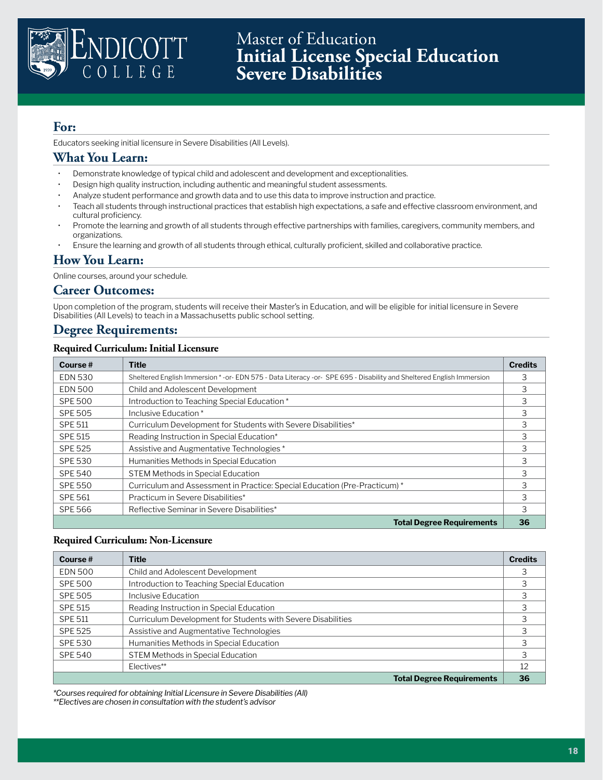

Master of Education **Initial License Special Education Severe Disabilities**

### **For:**

Educators seeking initial licensure in Severe Disabilities (All Levels).

### **What You Learn:**

- Demonstrate knowledge of typical child and adolescent and development and exceptionalities.
- Design high quality instruction, including authentic and meaningful student assessments.
- Analyze student performance and growth data and to use this data to improve instruction and practice.
- Teach all students through instructional practices that establish high expectations, a safe and effective classroom environment, and cultural proficiency.
- Promote the learning and growth of all students through effective partnerships with families, caregivers, community members, and organizations.
- Ensure the learning and growth of all students through ethical, culturally proficient, skilled and collaborative practice.

### **How You Learn:**

Online courses, around your schedule.

#### **Career Outcomes:**

Upon completion of the program, students will receive their Master's in Education, and will be eligible for initial licensure in Severe Disabilities (All Levels) to teach in a Massachusetts public school setting.

### **Degree Requirements:**

#### **Required Curriculum: Initial Licensure**

| Course $#$     | <b>Title</b>                                                                                                        | <b>Credits</b> |
|----------------|---------------------------------------------------------------------------------------------------------------------|----------------|
| <b>EDN 530</b> | Sheltered English Immersion *- or-EDN 575 - Data Literacy - or-SPE 695 - Disability and Sheltered English Immersion | 3              |
| <b>EDN 500</b> | Child and Adolescent Development                                                                                    | 3              |
| <b>SPE 500</b> | Introduction to Teaching Special Education *                                                                        | 3              |
| <b>SPE 505</b> | Inclusive Education*                                                                                                | 3              |
| <b>SPE 511</b> | Curriculum Development for Students with Severe Disabilities*                                                       | 3              |
| <b>SPE 515</b> | Reading Instruction in Special Education*                                                                           | 3              |
| <b>SPE 525</b> | Assistive and Augmentative Technologies *                                                                           | 3              |
| <b>SPE 530</b> | Humanities Methods in Special Education                                                                             | 3              |
| <b>SPE 540</b> | <b>STEM Methods in Special Education</b>                                                                            | 3              |
| <b>SPE 550</b> | Curriculum and Assessment in Practice: Special Education (Pre-Practicum) *                                          | 3              |
| <b>SPE 561</b> | Practicum in Severe Disabilities*                                                                                   | 3              |
| <b>SPE 566</b> | Reflective Seminar in Severe Disabilities*                                                                          | 3              |
|                | <b>Total Degree Requirements</b>                                                                                    | 36             |

#### **Required Curriculum: Non-Licensure**

| Course $#$     | <b>Title</b>                                                 | <b>Credits</b> |
|----------------|--------------------------------------------------------------|----------------|
| <b>EDN 500</b> | Child and Adolescent Development                             |                |
| <b>SPE 500</b> | Introduction to Teaching Special Education                   |                |
| <b>SPE 505</b> | Inclusive Education                                          |                |
| SPE 515        | Reading Instruction in Special Education                     |                |
| <b>SPE 511</b> | Curriculum Development for Students with Severe Disabilities |                |
| <b>SPE 525</b> | Assistive and Augmentative Technologies                      |                |
| SPE 530        | Humanities Methods in Special Education                      | 3              |
| <b>SPE 540</b> | <b>STEM Methods in Special Education</b>                     | 3              |
|                | Electives**                                                  | 12             |
|                | <b>Total Degree Requirements</b>                             | 36             |

*\*Courses required for obtaining Initial Licensure in Severe Disabilities (All)*

*\*\*Electives are chosen in consultation with the student's advisor*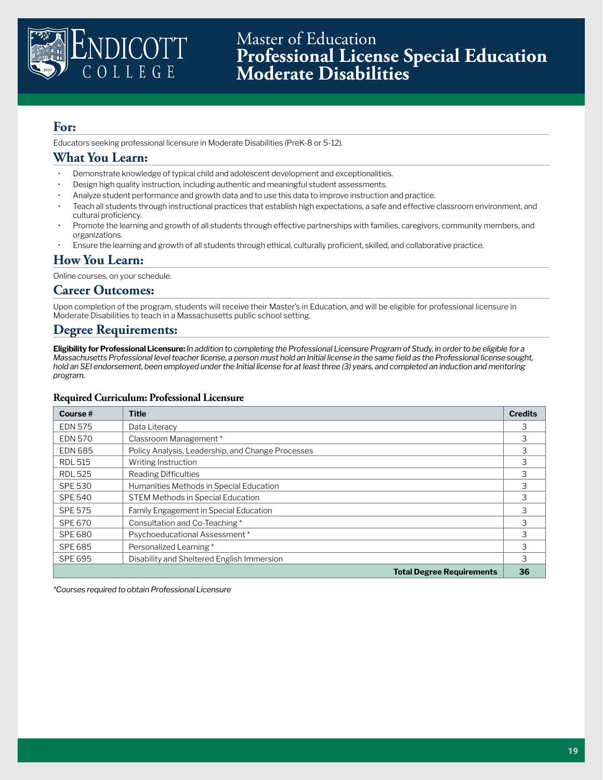

Educators seeking professional licensure in Moderate Disabilities (PreK-8 or 5-12).

### **What You Learn:**

- Demonstrate knowledge of typical child and adolescent development and exceptionalities.
- Design high quality instruction, including authentic and meaningful student assessments.
- Analyze student performance and growth data and to use this data to improve instruction and practice.
- Teach all students through instructional practices that establish high expectations, a safe and effective classroom environment, and cultural proficiency.
- Promote the learning and growth of all students through effective partnerships with families, caregivers, community members, and organizations.
- Ensure the learning and growth of all students through ethical, culturally proficient, skilled, and collaborative practice.

### **How You Learn:**

Online courses, on your schedule.

#### **Career Outcomes:**

Upon completion of the program, students will receive their Master's in Education, and will be eligible for professional licensure in Moderate Disabilities to teach in a Massachusetts public school setting.

### **Degree Requirements:**

**Eligibility for Professional Licensure:** *In addition to completing the Professional Licensure Program of Study, in order to be eligible for a Massachusetts Professional level teacher license, a person must hold an Initial license in the same field as the Professional license sought, hold an SEI endorsement, been employed under the Initial license for at least three (3) years, and completed an induction and mentoring program.* 

#### **Required Curriculum: Professional Licensure**

| Course $#$     | Title                                             | <b>Credits</b> |
|----------------|---------------------------------------------------|----------------|
| <b>EDN 575</b> | Data Literacy                                     | 3              |
| <b>EDN 570</b> | Classroom Management *                            | 3              |
| <b>EDN 685</b> | Policy Analysis, Leadership, and Change Processes | 3              |
| <b>RDL 515</b> | Writing Instruction                               | 3              |
| <b>RDL 525</b> | <b>Reading Difficulties</b>                       | 3              |
| SPE 530        | Humanities Methods in Special Education           | 3              |
| <b>SPE 540</b> | <b>STEM Methods in Special Education</b>          | 3              |
| <b>SPE 575</b> | Family Engagement in Special Education            | 3              |
| SPE 670        | Consultation and Co-Teaching*                     | 3              |
| SPE 680        | Psychoeducational Assessment *                    | 3              |
| <b>SPE 685</b> | Personalized Learning*                            | 3              |
| SPE 695        | Disability and Sheltered English Immersion        | 3              |
|                | <b>Total Degree Requirements</b>                  | 36             |

*\*Courses required to obtain Professional Licensure*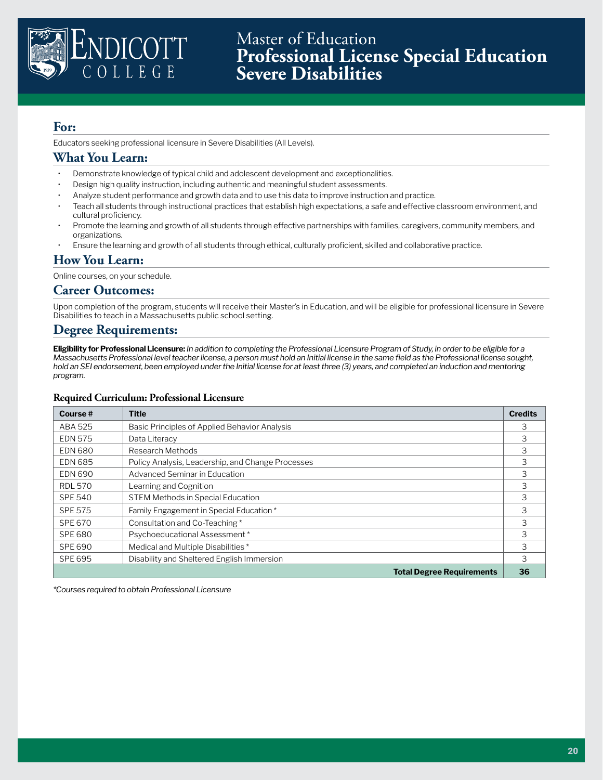

Master of Education **Professional License Special Education Severe Disabilities**

## **For:**

Educators seeking professional licensure in Severe Disabilities (All Levels).

### **What You Learn:**

- Demonstrate knowledge of typical child and adolescent development and exceptionalities.
- Design high quality instruction, including authentic and meaningful student assessments.
- Analyze student performance and growth data and to use this data to improve instruction and practice.
- Teach all students through instructional practices that establish high expectations, a safe and effective classroom environment, and cultural proficiency.
- Promote the learning and growth of all students through effective partnerships with families, caregivers, community members, and organizations.
- Ensure the learning and growth of all students through ethical, culturally proficient, skilled and collaborative practice.

### **How You Learn:**

Online courses, on your schedule.

#### **Career Outcomes:**

Upon completion of the program, students will receive their Master's in Education, and will be eligible for professional licensure in Severe Disabilities to teach in a Massachusetts public school setting.

### **Degree Requirements:**

**Eligibility for Professional Licensure:** *In addition to completing the Professional Licensure Program of Study, in order to be eligible for a Massachusetts Professional level teacher license, a person must hold an Initial license in the same field as the Professional license sought, hold an SEI endorsement, been employed under the Initial license for at least three (3) years, and completed an induction and mentoring program.* 

#### **Required Curriculum: Professional Licensure**

| Course $#$     | Title                                             | <b>Credits</b> |
|----------------|---------------------------------------------------|----------------|
| ABA 525        | Basic Principles of Applied Behavior Analysis     | 3              |
| <b>EDN 575</b> | Data Literacy                                     | 3              |
| <b>EDN 680</b> | Research Methods                                  | 3              |
| <b>EDN 685</b> | Policy Analysis, Leadership, and Change Processes | 3              |
| <b>EDN 690</b> | Advanced Seminar in Education                     | 3              |
| <b>RDL 570</b> | Learning and Cognition                            | 3              |
| <b>SPE 540</b> | <b>STEM Methods in Special Education</b>          | 3              |
| <b>SPE 575</b> | Family Engagement in Special Education *          | 3              |
| SPE 670        | Consultation and Co-Teaching*                     | 3              |
| SPE 680        | Psychoeducational Assessment *                    | 3              |
| <b>SPE 690</b> | Medical and Multiple Disabilities *               | 3              |
| SPE 695        | Disability and Sheltered English Immersion        | 3              |
|                | <b>Total Degree Requirements</b>                  | 36             |

*\*Courses required to obtain Professional Licensure*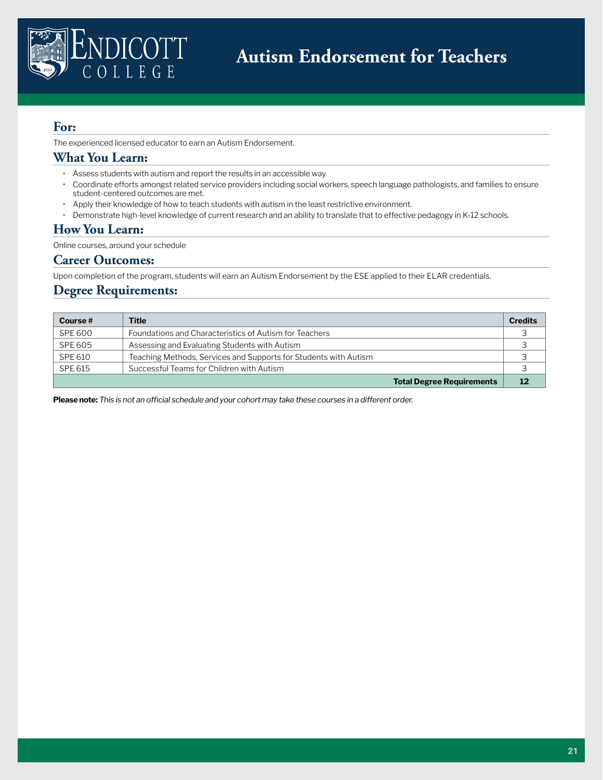

The experienced licensed educator to earn an Autism Endorsement.

# **What You Learn:**

- Assess students with autism and report the results in an accessible way.
- Coordinate efforts amongst related service providers including social workers, speech language pathologists, and families to ensure student-centered outcomes are met.
- Apply their knowledge of how to teach students with autism in the least restrictive environment.
- Demonstrate high-level knowledge of current research and an ability to translate that to effective pedagogy in K-12 schools.

### **How You Learn:**

Online courses, around your schedule

### **Career Outcomes:**

Upon completion of the program, students will earn an Autism Endorsement by the ESE applied to their ELAR credentials.

### **Degree Requirements:**

| Course $#$ | <b>Title</b>                                                     | <b>Credits</b> |
|------------|------------------------------------------------------------------|----------------|
| SPE 600    | Foundations and Characteristics of Autism for Teachers           |                |
| SPE 605    | Assessing and Evaluating Students with Autism                    |                |
| SPE 610    | Teaching Methods, Services and Supports for Students with Autism |                |
| SPE 615    | Successful Teams for Children with Autism                        |                |
|            | <b>Total Degree Requirements</b>                                 | 12             |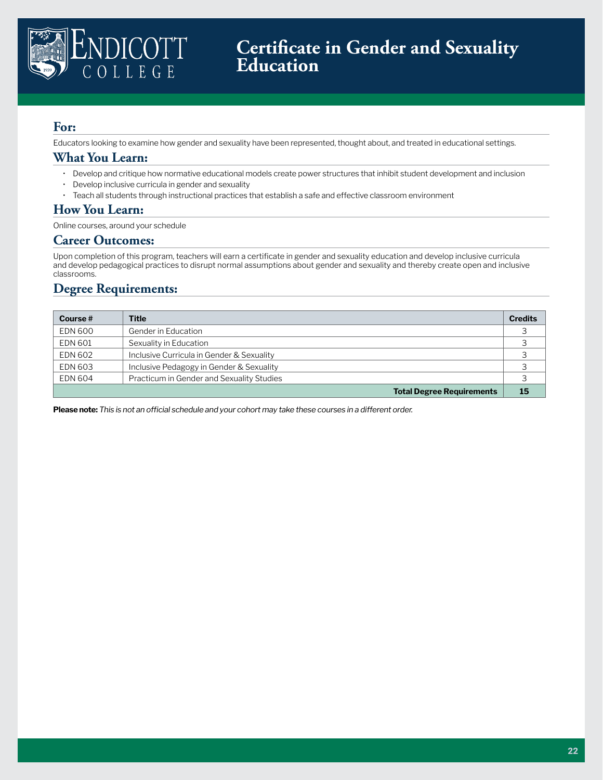

Educators looking to examine how gender and sexuality have been represented, thought about, and treated in educational settings.

### **What You Learn:**

- Develop and critique how normative educational models create power structures that inhibit student development and inclusion
- Develop inclusive curricula in gender and sexuality
- Teach all students through instructional practices that establish a safe and effective classroom environment

### **How You Learn:**

Online courses, around your schedule

#### **Career Outcomes:**

Upon completion of this program, teachers will earn a certificate in gender and sexuality education and develop inclusive curricula and develop pedagogical practices to disrupt normal assumptions about gender and sexuality and thereby create open and inclusive classrooms.

# **Degree Requirements:**

| Course $#$     | <b>Title</b>                              | <b>Credits</b> |
|----------------|-------------------------------------------|----------------|
| EDN 600        | Gender in Education                       | っ              |
| <b>EDN 601</b> | Sexuality in Education                    | っ              |
| EDN 602        | Inclusive Curricula in Gender & Sexuality | っ              |
| EDN 603        | Inclusive Pedagogy in Gender & Sexuality  | っ              |
| EDN 604        | Practicum in Gender and Sexuality Studies |                |
|                | <b>Total Degree Requirements</b>          | 15             |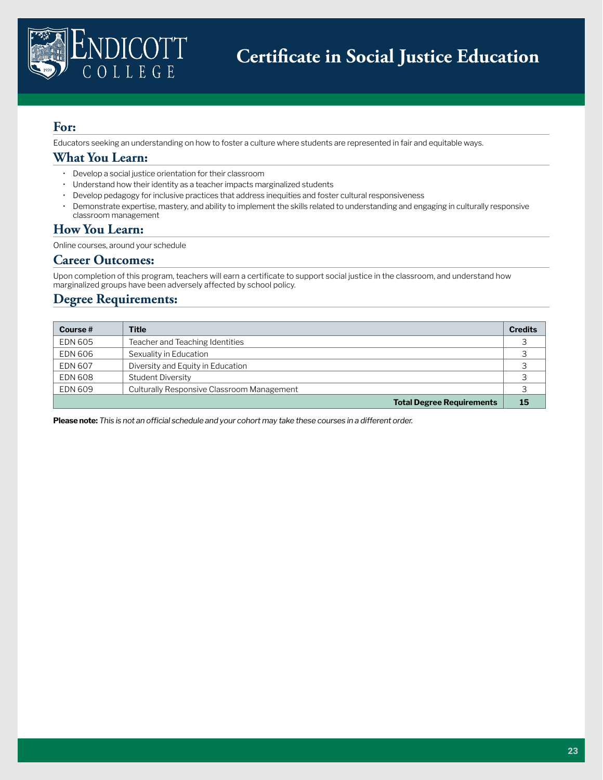

Educators seeking an understanding on how to foster a culture where students are represented in fair and equitable ways.

### **What You Learn:**

- Develop a social justice orientation for their classroom
- Understand how their identity as a teacher impacts marginalized students
- Develop pedagogy for inclusive practices that address inequities and foster cultural responsiveness
- Demonstrate expertise, mastery, and ability to implement the skills related to understanding and engaging in culturally responsive classroom management

### **How You Learn:**

Online courses, around your schedule

### **Career Outcomes:**

Upon completion of this program, teachers will earn a certificate to support social justice in the classroom, and understand how marginalized groups have been adversely affected by school policy.

# **Degree Requirements:**

| Course $#$     | <b>Title</b>                               | <b>Credits</b> |
|----------------|--------------------------------------------|----------------|
| <b>EDN 605</b> | Teacher and Teaching Identities            |                |
| EDN 606        | Sexuality in Education                     |                |
| <b>EDN 607</b> | Diversity and Equity in Education          |                |
| <b>EDN 608</b> | <b>Student Diversity</b>                   |                |
| EDN 609        | Culturally Responsive Classroom Management | 3              |
|                | <b>Total Degree Requirements</b>           | 15             |